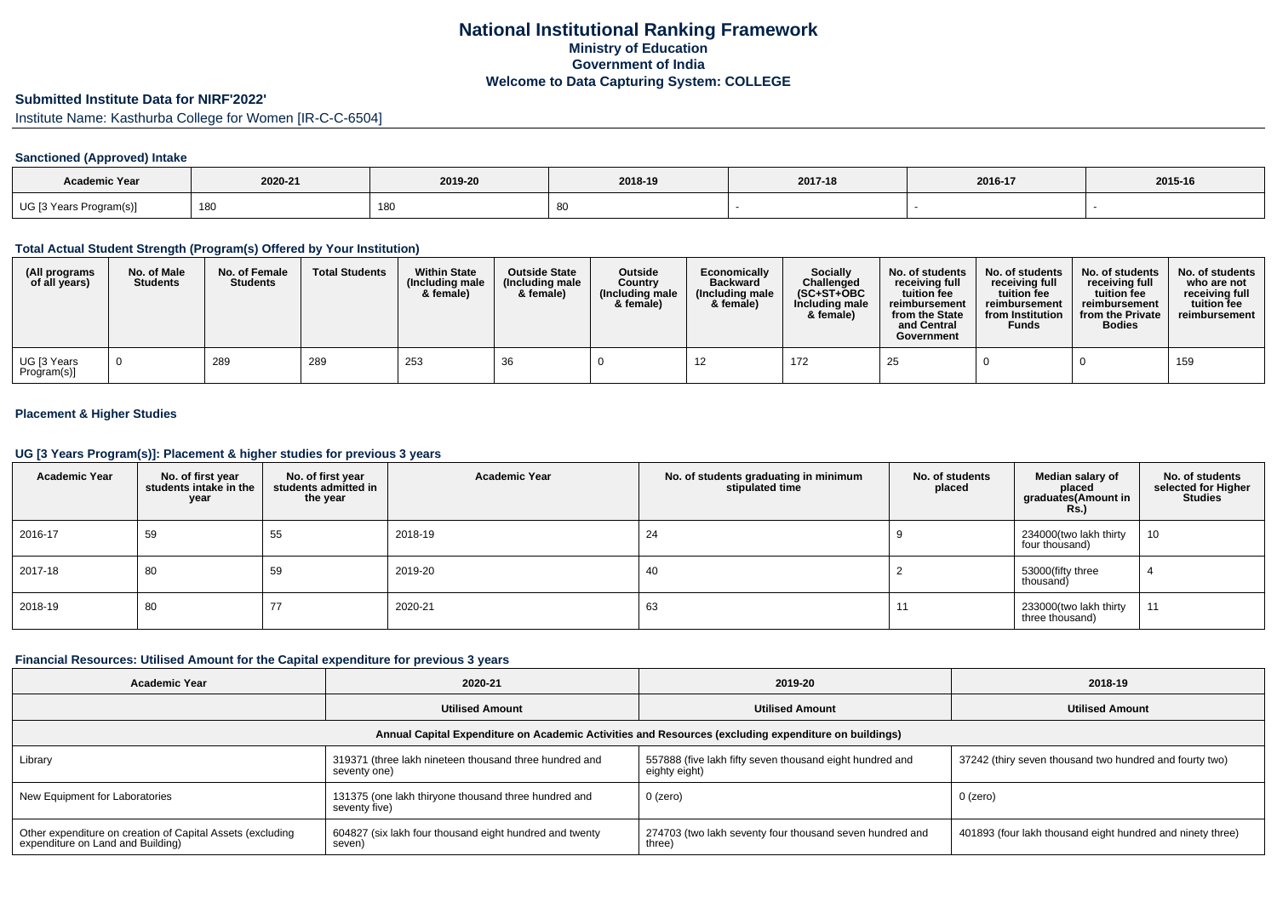# **Submitted Institute Data for NIRF'2022'**

Institute Name: Kasthurba College for Women [IR-C-C-6504]

## **Sanctioned (Approved) Intake**

| <b>Academic Year</b>    | 2020-21 | 2019-20 | 2018-19 | 2017-18 | 2016-17 | 2015-16 |
|-------------------------|---------|---------|---------|---------|---------|---------|
| UG [3 Years Program(s)] | 180     | 180     | ಂ       |         |         |         |

#### **Total Actual Student Strength (Program(s) Offered by Your Institution)**

| (All programs<br>of all years) | No. of Male<br><b>Students</b> | No. of Female<br><b>Students</b> | <b>Total Students</b> | <b>Within State</b><br>(Including male<br>& female) | <b>Outside State</b><br>(Including male<br>& female) | Outside<br>Country<br>(Including male<br>& female) | Economically<br><b>Backward</b><br>(Including male<br>& female) | <b>Socially</b><br>Challenged<br>$(SC+ST+OBC$<br>Including male<br>& female) | No. of students<br>receivina full<br>tuition fee<br>reimbursement<br>from the State<br>and Central<br>Government | No. of students<br>receiving full<br>tuition fee<br>reimbursement<br>from Institution<br><b>Funds</b> | No. of students<br>receiving full<br>tuition fee<br>reimbursement<br>from the Private<br><b>Bodies</b> | No. of students  <br>who are not<br>receivina full<br>tuition fee<br>reimbursement |
|--------------------------------|--------------------------------|----------------------------------|-----------------------|-----------------------------------------------------|------------------------------------------------------|----------------------------------------------------|-----------------------------------------------------------------|------------------------------------------------------------------------------|------------------------------------------------------------------------------------------------------------------|-------------------------------------------------------------------------------------------------------|--------------------------------------------------------------------------------------------------------|------------------------------------------------------------------------------------|
| UG [3 Years<br>Program(s)]     |                                | 289                              | 289                   | 253                                                 | 36                                                   |                                                    |                                                                 | 172                                                                          | 25                                                                                                               |                                                                                                       |                                                                                                        | 159                                                                                |

## **Placement & Higher Studies**

#### **UG [3 Years Program(s)]: Placement & higher studies for previous 3 years**

| <b>Academic Year</b> | No. of first year<br>students intake in the<br>year | No. of first year<br>students admitted in<br>the year | <b>Academic Year</b> | No. of students graduating in minimum<br>stipulated time | No. of students<br>placed | Median salary of<br>placed<br>graduates(Amount in<br><b>Rs.)</b> | No. of students<br>selected for Higher<br><b>Studies</b> |
|----------------------|-----------------------------------------------------|-------------------------------------------------------|----------------------|----------------------------------------------------------|---------------------------|------------------------------------------------------------------|----------------------------------------------------------|
| 2016-17              | 59                                                  | 55                                                    | 2018-19              | 24                                                       |                           | 234000(two lakh thirty<br>four thousand)                         | 10                                                       |
| 2017-18              | 80                                                  | 59                                                    | 2019-20              | 40                                                       |                           | 53000(fifty three<br>thousand)                                   |                                                          |
| 2018-19              | 80                                                  | 77                                                    | 2020-21              | 63                                                       | 11                        | 233000(two lakh thirty<br>three thousand)                        | 11                                                       |

#### **Financial Resources: Utilised Amount for the Capital expenditure for previous 3 years**

| <b>Academic Year</b>                                                                                 | 2020-21                                                                | 2019-20                                                                   | 2018-19                                                    |  |  |  |  |  |  |
|------------------------------------------------------------------------------------------------------|------------------------------------------------------------------------|---------------------------------------------------------------------------|------------------------------------------------------------|--|--|--|--|--|--|
|                                                                                                      | <b>Utilised Amount</b>                                                 | <b>Utilised Amount</b>                                                    | <b>Utilised Amount</b>                                     |  |  |  |  |  |  |
| Annual Capital Expenditure on Academic Activities and Resources (excluding expenditure on buildings) |                                                                        |                                                                           |                                                            |  |  |  |  |  |  |
| Library                                                                                              | 319371 (three lakh nineteen thousand three hundred and<br>seventy one) | 557888 (five lakh fifty seven thousand eight hundred and<br>eighty eight) | 37242 (thiry seven thousand two hundred and fourty two)    |  |  |  |  |  |  |
| New Equipment for Laboratories                                                                       | 131375 (one lakh thiryone thousand three hundred and<br>seventy five)  | $0$ (zero)                                                                | 0 (zero)                                                   |  |  |  |  |  |  |
| Other expenditure on creation of Capital Assets (excluding<br>expenditure on Land and Building)      | 604827 (six lakh four thousand eight hundred and twenty<br>seven)      | 274703 (two lakh seventy four thousand seven hundred and<br>three)        | 401893 (four lakh thousand eight hundred and ninety three) |  |  |  |  |  |  |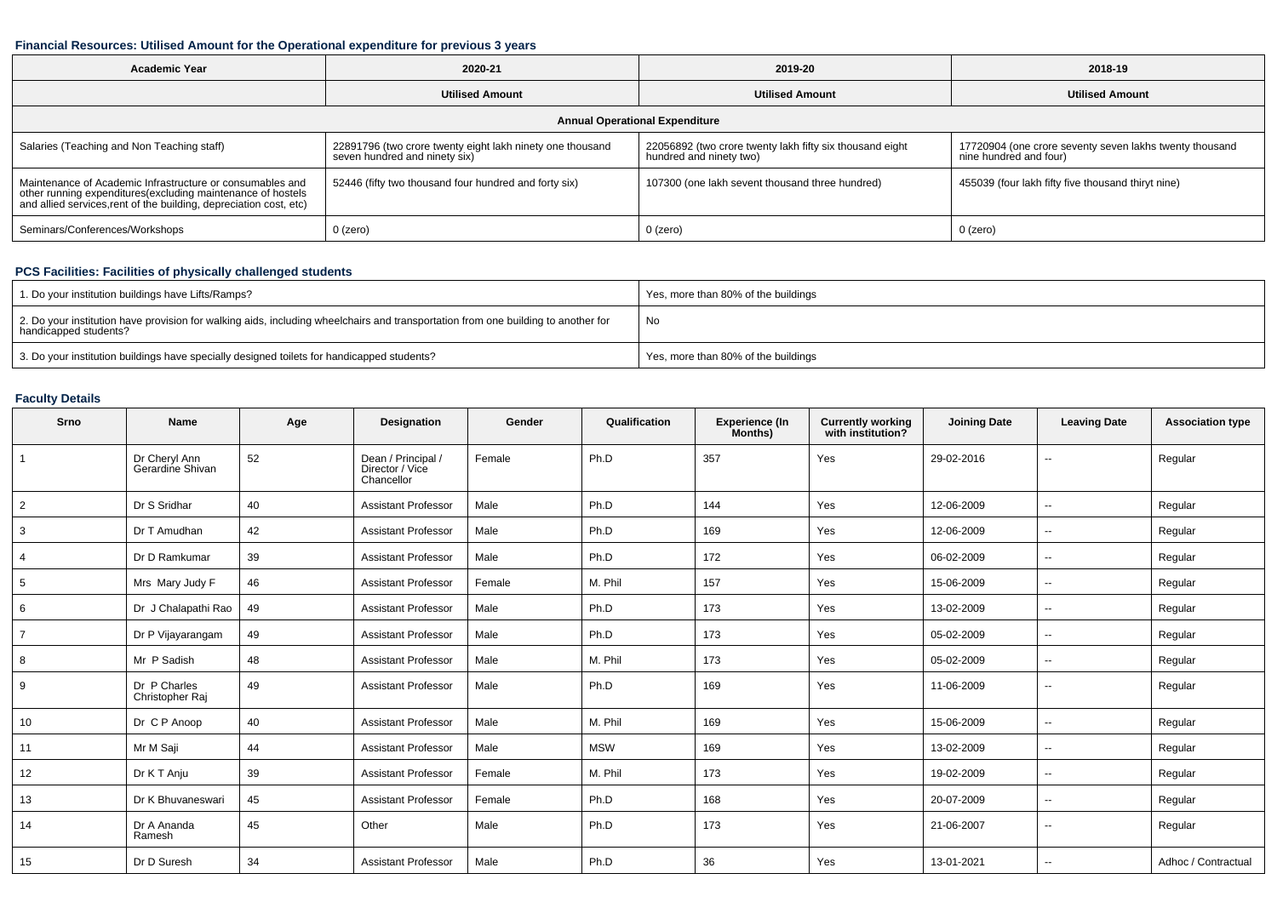### **Financial Resources: Utilised Amount for the Operational expenditure for previous 3 years**

| <b>Academic Year</b>                                                                                                                                                                          | 2020-21                                                                                    | 2019-20                                                                             | 2018-19                                                                           |  |  |  |  |  |  |
|-----------------------------------------------------------------------------------------------------------------------------------------------------------------------------------------------|--------------------------------------------------------------------------------------------|-------------------------------------------------------------------------------------|-----------------------------------------------------------------------------------|--|--|--|--|--|--|
|                                                                                                                                                                                               | <b>Utilised Amount</b>                                                                     | <b>Utilised Amount</b>                                                              | <b>Utilised Amount</b>                                                            |  |  |  |  |  |  |
| <b>Annual Operational Expenditure</b>                                                                                                                                                         |                                                                                            |                                                                                     |                                                                                   |  |  |  |  |  |  |
| Salaries (Teaching and Non Teaching staff)                                                                                                                                                    | 22891796 (two crore twenty eight lakh ninety one thousand<br>seven hundred and ninety six) | 22056892 (two crore twenty lakh fifty six thousand eight<br>hundred and ninety two) | 17720904 (one crore seventy seven lakhs twenty thousand<br>nine hundred and four) |  |  |  |  |  |  |
| Maintenance of Academic Infrastructure or consumables and<br>other running expenditures(excluding maintenance of hostels<br>and allied services,rent of the building, depreciation cost, etc) | 52446 (fifty two thousand four hundred and forty six)                                      | 107300 (one lakh sevent thousand three hundred)                                     | 455039 (four lakh fifty five thousand thiryt nine)                                |  |  |  |  |  |  |
| Seminars/Conferences/Workshops                                                                                                                                                                | 0 (zero)                                                                                   | $0$ (zero)                                                                          | 0 (zero)                                                                          |  |  |  |  |  |  |

## **PCS Facilities: Facilities of physically challenged students**

| 1. Do your institution buildings have Lifts/Ramps?                                                                                                         | Yes, more than 80% of the buildings |
|------------------------------------------------------------------------------------------------------------------------------------------------------------|-------------------------------------|
| 2. Do your institution have provision for walking aids, including wheelchairs and transportation from one building to another for<br>handicapped students? | No                                  |
| 3. Do your institution buildings have specially designed toilets for handicapped students?                                                                 | Yes, more than 80% of the buildings |

## **Faculty Details**

| Srno            | <b>Name</b>                       | Age | <b>Designation</b>                                  | Gender | Qualification | <b>Experience (In</b><br>Months) | <b>Currently working</b><br>with institution? | <b>Joining Date</b> | <b>Leaving Date</b>      | <b>Association type</b> |
|-----------------|-----------------------------------|-----|-----------------------------------------------------|--------|---------------|----------------------------------|-----------------------------------------------|---------------------|--------------------------|-------------------------|
| $\overline{1}$  | Dr Cheryl Ann<br>Gerardine Shivan | 52  | Dean / Principal /<br>Director / Vice<br>Chancellor | Female | Ph.D          | 357                              | Yes                                           | 29-02-2016          | $\overline{\phantom{a}}$ | Regular                 |
| $\overline{2}$  | Dr S Sridhar                      | 40  | <b>Assistant Professor</b>                          | Male   | Ph.D          | 144                              | Yes                                           | 12-06-2009          | $\sim$                   | Regular                 |
| 3               | Dr T Amudhan                      | 42  | <b>Assistant Professor</b>                          | Male   | Ph.D          | 169                              | Yes                                           | 12-06-2009          | $\sim$                   | Regular                 |
| $\overline{4}$  | Dr D Ramkumar                     | 39  | <b>Assistant Professor</b>                          | Male   | Ph.D          | 172                              | Yes                                           | 06-02-2009          | $\overline{\phantom{a}}$ | Regular                 |
| $5\overline{5}$ | Mrs Mary Judy F                   | 46  | <b>Assistant Professor</b>                          | Female | M. Phil       | 157                              | Yes                                           | 15-06-2009          | $\sim$                   | Regular                 |
| 6               | Dr J Chalapathi Rao               | 49  | <b>Assistant Professor</b>                          | Male   | Ph.D          | 173                              | Yes                                           | 13-02-2009          | $\overline{\phantom{a}}$ | Regular                 |
| $\overline{7}$  | Dr P Vijayarangam                 | 49  | <b>Assistant Professor</b>                          | Male   | Ph.D          | 173                              | Yes                                           | 05-02-2009          | $\overline{\phantom{a}}$ | Regular                 |
| 8               | Mr P Sadish                       | 48  | <b>Assistant Professor</b>                          | Male   | M. Phil       | 173                              | Yes                                           | 05-02-2009          | $\overline{\phantom{a}}$ | Regular                 |
| 9               | Dr P Charles<br>Christopher Raj   | 49  | <b>Assistant Professor</b>                          | Male   | Ph.D          | 169                              | Yes                                           | 11-06-2009          | $\overline{\phantom{a}}$ | Regular                 |
| 10              | Dr C P Anoop                      | 40  | <b>Assistant Professor</b>                          | Male   | M. Phil       | 169                              | Yes                                           | 15-06-2009          | $\overline{\phantom{a}}$ | Regular                 |
| 11              | Mr M Saji                         | 44  | <b>Assistant Professor</b>                          | Male   | <b>MSW</b>    | 169                              | Yes                                           | 13-02-2009          | $\sim$                   | Regular                 |
| 12              | Dr K T Anju                       | 39  | <b>Assistant Professor</b>                          | Female | M. Phil       | 173                              | Yes                                           | 19-02-2009          | $\sim$                   | Regular                 |
| 13              | Dr K Bhuvaneswari                 | 45  | <b>Assistant Professor</b>                          | Female | Ph.D          | 168                              | Yes                                           | 20-07-2009          | $\sim$                   | Regular                 |
| 14              | Dr A Ananda<br>Ramesh             | 45  | Other                                               | Male   | Ph.D          | 173                              | Yes                                           | 21-06-2007          | $\sim$                   | Regular                 |
| 15              | Dr D Suresh                       | 34  | <b>Assistant Professor</b>                          | Male   | Ph.D          | 36                               | Yes                                           | 13-01-2021          | $\overline{\phantom{a}}$ | Adhoc / Contractual     |